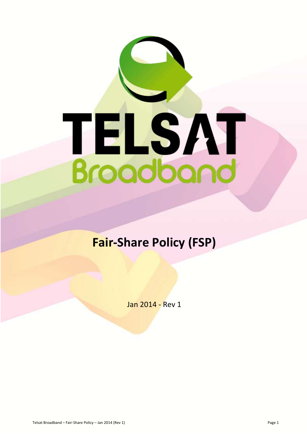

# **Fair-Share Policy (FSP)**

Jan 2014 - Rev 1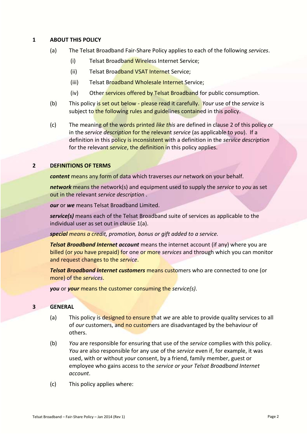#### **1 ABOUT THIS POLICY**

- (a) The Telsat Broadband Fair-Share Policy applies to each of the following *services*.
	- (i) Telsat Broadband Wireless Internet Service;
	- (ii) Telsat Broadband VSAT Internet Service;
	- (iii) Telsat Broadband Wholesale Internet Service;
	- (iv) Other services offered by Telsat Broadband for public consumption.
- (b) This policy is set out below please read it carefully. *Your* use of the *service* is subject to the following rules and guidelines contained in this policy.
- (c) The meaning of the words printed *like this* are defined in clause 2 of this policy or in the *service description* for the relevant *service* (as applicable to *you*). If a definition in this policy is inconsistent with a definition in the *service description* for the relevant *service*, the definition in this policy applies.

### **2 DEFINITIONS OF TERMS**

*content* means any form of data which traverses *our* network on your behalf.

*network* means the network(s) and equipment used to supply the *service* to *you* as set out in the relevant *service description* .

*our* or *we* means Telsat Broadband Limited.

*service(s)* means each of the Telsat Broadband suite of services as applicable to the individual user as set out in clause 1(a).

*special means a credit, promotion, bonus or gift added to a service.*

*Telsat Broadband Internet account* means the internet account (if any) where you are billed (or *you* have prepaid) for one or more *services* and through which you can monitor and request changes to the *service*.

*Telsat Broadband Internet customers* means customers who are connected to one (or more) of the *services*.

*you* or *your* means the customer consuming the *service(s)*.

#### **3 GENERAL**

- (a) This policy is designed to ensure that *we* are able to provide quality services to all of *our* customers, and no customers are disadvantaged by the behaviour of others.
- (b) *You* are responsible for ensuring that use of the *service* complies with this policy. *You* are also responsible for any use of the *service* even if, for example, it was used, with or without *your* consent, by a friend, family member, guest or employee who gains access to the *service or your Telsat Broadband Internet account*.
- (c) This policy applies where: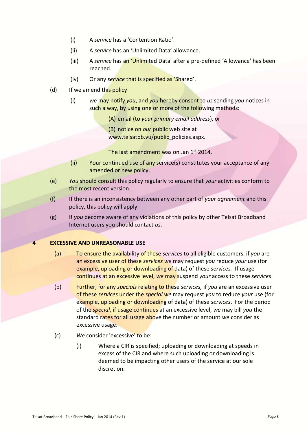- (i) A *service* has a 'Contention Ratio'.
- (ii) A *service* has an 'Unlimited Data' allowance.
- (iii) A *service* has an 'Unlimited Data' after a pre-defined 'Allowance' has been reached.
- (iv) Or any *service* that is specified as 'Shared'.
- (d) If we amend this policy
	- (i) *we* may notify *you*, and *you* hereby consent to *us* sending *you* notices in such a way, by using one or more of the following methods:

(A) email (to *your primary email address*), or

(B) notice on *our* public web site at www.telsatbb.vu/public\_policies.aspx.

The last amendment was on Jan 1<sup>st</sup> 2014.

- (ii) Your continued use of any service(s) constitutes your acceptance of any amended or new policy.
- (e) *You* should consult this policy regularly to ensure that *your* activities conform to the most recent version.
- (f) If there is an inconsistency between any other part of *your agreement* and this policy, this policy will apply.
- (g) If *you* become aware of any violations of this policy by other Telsat Broadband Internet users you should contact *us*.

#### **4 EXCESSIVE AND UNREASONABLE USE**

- (a) To ensure the availability of these *services* to all eligible customers, if *you* are an excessive user of these *services we* may request *you* reduce *your* use (for example, uploading or downloading of data) of these *services.* If usage continues at an excessive level, *we* may suspend *your* access to these *services*.
- (b) Further, for any *specials* relating to these *services,* if *you* are an excessive user of these *services* under the *special we* may request *you* to reduce *your* use (for example, uploading or downloading of data) of these *services*. For the period of the *special*, if usage continues at an excessive level, *we* may bill *you* the standard rates for all usage above the number or amount *we* consider as excessive usage.
- (c) *We* consider 'excessive' to be:
	- (i) Where a CIR is specified; uploading or downloading at speeds in excess of the CIR and where such uploading or downloading is deemed to be impacting other users of the service at our sole discretion.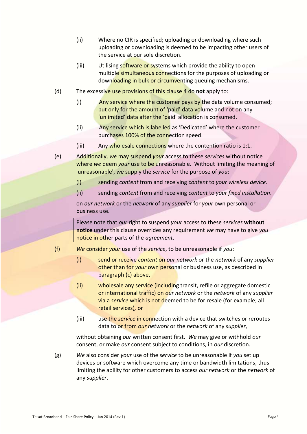- (ii) Where no CIR is specified; uploading or downloading where such uploading or downloading is deemed to be impacting other users of the service at our sole discretion.
- (iii) Utilising software or systems which provide the ability to open multiple simultaneous connections for the purposes of uploading or downloading in bulk or circumventing queuing mechanisms.
- (d) The excessive use provisions of this clause 4 do **not** apply to:
	- (i) Any service where the customer pays by the data volume consumed; but only for the amount of 'paid' data volume and not on any 'unlimited' data after the 'paid' allocation is consumed.
	- (ii) Any service which is labelled as 'Dedicated' where the customer purchases 100% of the connection speed.
	- (iii) Any wholesale connections where the contention ratio is 1:1.
- (e) Additionally, *we* may suspend *your* access to these *services* without notice where *we* deem *your* use to be unreasonable. Without limiting the meaning of 'unreasonable', *we* supply the *service* for the purpose of *you*:
	- (i) sending *content* from and receiving *content* to *your wireless device.*
	- (ii) sending *content* from and receiving *content* to *your fixed installation*.

on *our network* or the *network* of any *supplier* for *your* own personal or business use.

Please note that *our* right to suspend *your* access to these *services* **without notice** under this clause overrides any requirement *we* may have to give *you*  notice in other parts of the *agreement*.

- (f) *We* consider *your* use of the *service*, to be unreasonable if *you*:
	- (i) send or receive *content* on *our network* or the *network* of any *supplier*  other than for *your* own personal or business use, as described in paragraph (c) above,
	- (ii) wholesale any service (including transit, refile or aggregate domestic or international traffic) on *our network* or the *network* of any *supplier* via a *service* which is not deemed to be for resale (for example; all retail services)*,* or
	- (iii) use the *service* in connection with a device that switches or reroutes data to or from *our network* or the *network* of any *supplier*,

without obtaining *our* written consent first. *We* may give or withhold *our*  consent, or make *our* consent subject to conditions, in *our* discretion*.*

(g) *We* also consider *your* use of the *service* to be unreasonable if *you* set up devices or software which overcome any time or bandwidth limitations, thus limiting the ability for other customers to access *our network* or the *network* of any *supplier*.